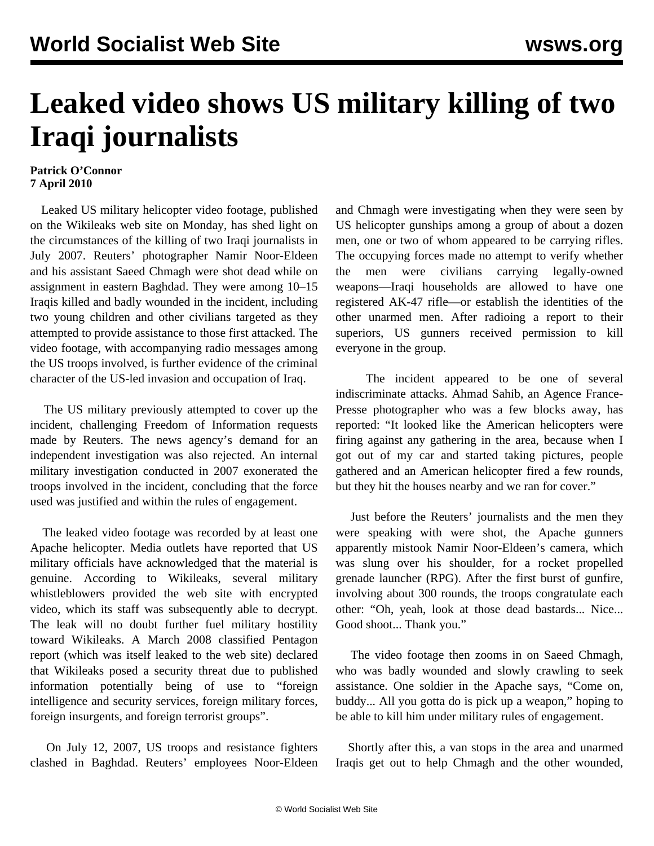## **Leaked video shows US military killing of two Iraqi journalists**

## **Patrick O'Connor 7 April 2010**

 Leaked US military helicopter video footage, published on the Wikileaks web site on Monday, has shed light on the circumstances of the killing of two Iraqi journalists in July 2007. Reuters' photographer Namir Noor-Eldeen and his assistant Saeed Chmagh were shot dead while on assignment in eastern Baghdad. They were among 10–15 Iraqis killed and badly wounded in the incident, including two young children and other civilians targeted as they attempted to provide assistance to those first attacked. The video footage, with accompanying radio messages among the US troops involved, is further evidence of the criminal character of the US-led invasion and occupation of Iraq.

 The US military previously attempted to cover up the incident, challenging Freedom of Information requests made by Reuters. The news agency's demand for an independent investigation was also rejected. An internal military investigation conducted in 2007 exonerated the troops involved in the incident, concluding that the force used was justified and within the rules of engagement.

 The leaked video footage was recorded by at least one Apache helicopter. Media outlets have reported that US military officials have acknowledged that the material is genuine. According to Wikileaks, several military whistleblowers provided the web site with encrypted video, which its staff was subsequently able to decrypt. The leak will no doubt further fuel military hostility toward Wikileaks. A March 2008 classified Pentagon report (which was itself leaked to the web site) declared that Wikileaks posed a security threat due to published information potentially being of use to "foreign intelligence and security services, foreign military forces, foreign insurgents, and foreign terrorist groups".

 On July 12, 2007, US troops and resistance fighters clashed in Baghdad. Reuters' employees Noor-Eldeen

and Chmagh were investigating when they were seen by US helicopter gunships among a group of about a dozen men, one or two of whom appeared to be carrying rifles. The occupying forces made no attempt to verify whether the men were civilians carrying legally-owned weapons—Iraqi households are allowed to have one registered AK-47 rifle—or establish the identities of the other unarmed men. After radioing a report to their superiors, US gunners received permission to kill everyone in the group.

 The incident appeared to be one of several indiscriminate attacks. Ahmad Sahib, an Agence France-Presse photographer who was a few blocks away, has reported: "It looked like the American helicopters were firing against any gathering in the area, because when I got out of my car and started taking pictures, people gathered and an American helicopter fired a few rounds, but they hit the houses nearby and we ran for cover."

 Just before the Reuters' journalists and the men they were speaking with were shot, the Apache gunners apparently mistook Namir Noor-Eldeen's camera, which was slung over his shoulder, for a rocket propelled grenade launcher (RPG). After the first burst of gunfire, involving about 300 rounds, the troops congratulate each other: "Oh, yeah, look at those dead bastards... Nice... Good shoot... Thank you."

 The video footage then zooms in on Saeed Chmagh, who was badly wounded and slowly crawling to seek assistance. One soldier in the Apache says, "Come on, buddy... All you gotta do is pick up a weapon," hoping to be able to kill him under military rules of engagement.

 Shortly after this, a van stops in the area and unarmed Iraqis get out to help Chmagh and the other wounded,